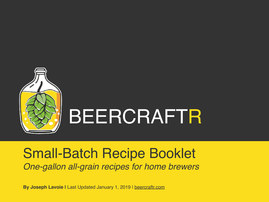

# BEERCRAFTR

# Small-Batch Recipe Booklet *One-gallon all-grain recipes for home brewers*

**By Joseph Lavoie |** Last Updated January 1, 2019 | [beercraftr.com](http://beercraftr.com)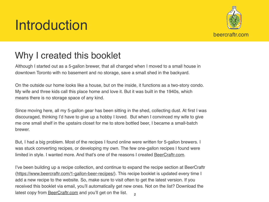# Introduction



# Why I created this booklet

Although I started out as a 5-gallon brewer, that all changed when I moved to a small house in downtown Toronto with no basement and no storage, save a small shed in the backyard.

On the outside our home looks like a house, but on the inside, it functions as a two-story condo. My wife and three kids call this place home and love it. But it was built in the 1940s, which means there is no storage space of any kind.

Since moving here, all my 5-gallon gear has been sitting in the shed, collecting dust. At first I was discouraged, thinking I'd have to give up a hobby I loved. But when I convinced my wife to give me one small shelf in the upstairs closet for me to store bottled beer, I became a small-batch brewer.

But, I had a big problem. Most of the recipes I found online were written for 5-gallon brewers. I was stuck converting recipes, or developing my own. The few one-gallon recipes I found were limited in style. I wanted more. And that's one of the reasons I created **[BeerCraftr.com](http://beercraftr.com).** 

I've been building up a recipe collection, and continue to expand the recipe section at BeerCraftr (<https://www.beercraftr.com/1-gallon-beer-recipes/>). This recipe booklet is updated every time I add a new recipe to the website. So, make sure to visit often to get the latest version. If you received this booklet via email, you'll automatically get new ones. Not on the list? Download the latest copy from **[BeerCraftr.com](http://beercraftr.com)** and you'll get on the list.  $\mathfrak{p}$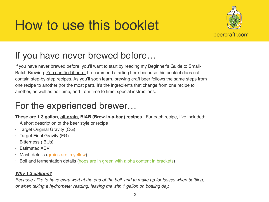# How to use this booklet



# If you have never brewed before…

If you have never brewed before, you'll want to start by reading my Beginner's Guide to Small-Batch Brewing. [You can find it here.](http://beercraftr.com/learn-to-brew-beer) I recommend starting here because this booklet does not contain step-by-step recipes. As you'll soon learn, brewing craft beer follows the same steps from one recipe to another (for the most part). It's the ingredients that change from one recipe to another, as well as boil time, and from time to time, special instructions.

# For the experienced brewer…

**These are 1.3 gallon, all-grain, BIAB (Brew-in-a-bag) recipes**. For each recipe, I've included:

- A short description of the beer style or recipe
- Target Original Gravity (OG)
- Target Final Gravity (FG)
- Bitterness (IBUs)
- Estimated ABV
- Mash details (grains are in yellow)
- Boil and fermentation details (hops are in green with alpha content in brackets)

## *Why 1.3 gallons?*

*Because I like to have extra wort at the end of the boil, and to make up for losses when bottling, or when taking a hydrometer reading, leaving me with 1 gallon on bottling day.*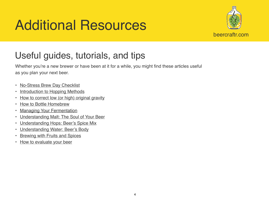# Additional Resources



# Useful guides, tutorials, and tips

Whether you're a new brewer or have been at it for a while, you might find these articles useful as you plan your next beer.

- [No-Stress Brew Day Checklist](https://www.beercraftr.com/brew-day-checklist/)
- [Introduction to Hopping Methods](https://www.beercraftr.com/introduction-hopping-methods/)
- [How to correct low \(or high\) original gravity](https://www.beercraftr.com/correct-original-gravity/)
- [How to Bottle Homebrew](https://www.beercraftr.com/bottling-day/)
- [Managing Your Fermentation](https://www.beercraftr.com/how-to-manage-your-fermentation/)
- [Understanding Malt: The Soul of Your Beer](https://www.beercraftr.com/malt/)
- [Understanding Hops: Beer's Spice Mix](https://www.beercraftr.com/hops/)
- [Understanding Water: Beer's Body](https://www.beercraftr.com/water/)
- [Brewing with Fruits and Spices](https://www.beercraftr.com/fruit-and-spice/)
- [How to evaluate your beer](https://www.beercraftr.com/how-to-evaluate-your-beer/)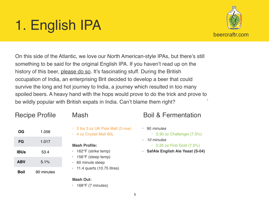# 1. English IPA



• On this side of the Atlantic, we love our North American-style IPAs, but there's still something to be said for the original English IPA. If you haven't read up on the history of this beer, [please do so.](https://www.beercraftr.com/beer-style-english-india-pale-ale/) It's fascinating stuff. During the British occupation of India, an enterprising Brit decided to develop a beer that could survive the long and hot journey to India, a journey which resulted in too many spoiled beers. A heavy hand with the hops would prove to do the trick and prove to be wildly popular with British expats in India. Can't blame them right?

# Recipe Profile

| OG          | 1.056      |
|-------------|------------|
| FG          | 1.017      |
| <b>IBUs</b> | 53.4       |
| <b>ABV</b>  | 5.1%       |
| Boil        | 90 minutes |

- Mash
- 2 lbs 3 oz UK Pale Malt (2-row)
- 4 oz Crystal Malt 60L

## **Mash Profile:**

- 162°F (strike temp)
- 156°F (steep temp)
- 60 minute steep
- $\cdot$  11.4 quarts (10.75 litres)

## **Mash Out:**

 $\cdot$  168°F (7 minutes)

- 90 *minutes*
	- 0.30 oz Challenger (7.5%)
- *10 minutes*
	- $\cdot$  0.25 oz First Gold (7.5%)
- **• SafAle English Ale Yeast (S-04)**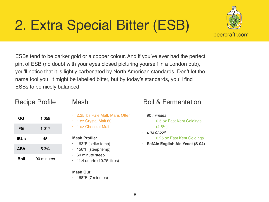# 2. Extra Special Bitter (ESB)



ESBs tend to be darker gold or a copper colour. And if you've ever had the perfect pint of ESB (no doubt with your eyes closed picturing yourself in a London pub), you'll notice that it is lightly carbonated by North American standards. Don't let the name fool you. It might be labelled bitter, but by today's standards, you'll find ESBs to be nicely balanced.

|             | <b>Recipe Profile</b> | $\vert \epsilon$ |
|-------------|-----------------------|------------------|
| <b>OG</b>   | 1.058                 | $\overline{2}$   |
| <b>FG</b>   | 1.017                 |                  |
| <b>IBUs</b> | 45                    | Mas              |
| <b>ABV</b>  | 5.3%                  | 1<br>1:          |
| <b>Boil</b> | 90 minutes            | 6                |

## ash

- .25 lbs Pale Malt, Maris Otter
- oz Crystal Malt 60L
- oz Chocolat Malt

### **sh Profile:**

- 63°F (strike temp)
- 156°F (steep temp)
- 60 minute steep
- 11.4 quarts (10.75 litres)

## **Mash Out:**

 $\cdot$  168°F (7 minutes)

- 90 *minutes*
	- 0.5 oz East Kent Goldings  $(4.5\%)$
- *End of boil*
	- 0.25 oz East Kent Goldings
- **• SafAle English Ale Yeast (S-04)**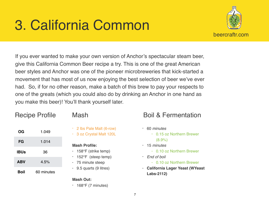# 3. California Common



If you ever wanted to make your own version of Anchor's spectacular steam beer, give this California Common Beer recipe a try. This is one of the great American beer styles and Anchor was one of the pioneer microbreweries that kick-started a movement that has most of us now enjoying the best selection of beer we've ever had. So, if for no other reason, make a batch of this brew to pay your respects to one of the greats (which you could also do by drinking an Anchor in one hand as you make this beer)! You'll thank yourself later.

## Recipe Profile

**OG** 1.049

**FG** 1.014

**IBUs** 36

**ABV** 4.5%

**Boil** 60 minutes

- 2 lbs Pale Malt (6-row)
- 3 oz Crystal Malt 120L

### **Mash Profile:**

- 158°F (strike temp)
- 152°F (steep temp)
- 75 minute steep
- $\cdot$  9.5 quarts (9 litres)

## **Mash Out:**

 $\cdot$  168°F (7 minutes)

- 60 *minutes*
	- 0.15 oz Northern Brewer (8.9%)
- 15 *minutes*
	- 0.10 oz Northern Brewer
- *End of boil*
	- 0.10 oz Northern Brewer
- **• California Lager Yeast (WYeast Labs-2112)**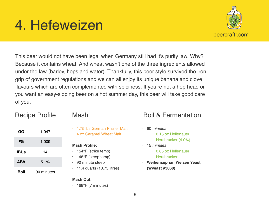# 4. Hefeweizen



This beer would not have been legal when Germany still had it's purity law. Why? Because it contains wheat. And wheat wasn't one of the three ingredients allowed under the law (barley, hops and water). Thankfully, this beer style survived the iron grip of government regulations and we can all enjoy its unique banana and clove flavours which are often complemented with spiciness. If you're not a hop head or you want an easy-sipping beer on a hot summer day, this beer will take good care of you.

# Recipe Profile

| OG          | 1.047      |
|-------------|------------|
| FG          | 1.009      |
| <b>IBUs</b> | 14         |
| <b>ABV</b>  | 5.1%       |
| Boil        | 90 minutes |

## Mash

- 1.75 lbs German Pilsner Malt
- 4 oz Caramel Wheat Malt

### **Mash Profile:**

- 154°F (strike temp)
- 148°F (steep temp)
- 90 minute steep
- $\cdot$  11.4 quarts (10.75 litres)

## **Mash Out:**

 $\cdot$  168°F (7 minutes)

- 60 *minutes*
	- 0.15 oz Hellertauer Hersbrucker (4.0%)
- 15 *minutes*
	- 0.05 oz Hellertauer
		- **Hersbrucker**
- **• Weihensephan Weizen Yeast (Wyeast #3068)**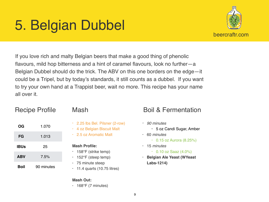# 5. Belgian Dubbel



If you love rich and malty Belgian beers that make a good thing of phenolic flavours, mild hop bitterness and a hint of caramel flavours, look no further—a Belgian Dubbel should do the trick. The ABV on this one borders on the edge—it could be a Tripel, but by today's standards, it still counts as a dubbel. If you want to try your own hand at a Trappist beer, wait no more. This recipe has your name all over it.

# Recipe Profile

| OG         | 1.070      |
|------------|------------|
| FG         | 1.013      |
| IBUs       | 25         |
| <b>ABV</b> | 7.5%       |
| Boil       | 90 minutes |

## Mash

- 2.25 lbs Bel. Pilsner (2-row)
- 4 oz Belgian Biscuit Malt
- 2.5 oz Aromatic Malt

### **Mash Profile:**

- 158°F (strike temp)
- 152°F (steep temp)
- 75 minute steep
- $\cdot$  11.4 quarts (10.75 litres)

## **Mash Out:**

 $\cdot$  168°F (7 minutes)

- *• 90 minutes*
	- 5 oz Candi Sugar, Amber
- 60 *minutes*
	- $\cdot$  0.15 oz Aurora (8.25%)
- 15 *minutes*
	- $\cdot$  0.10 oz Saaz (4.0%)
- **• Belgian Ale Yeast (WYeast Labs-1214)**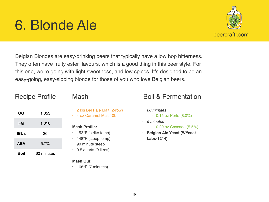# 6. Blonde Ale



Belgian Blondes are easy-drinking beers that typically have a low hop bitterness. They often have fruity ester flavours, which is a good thing in this beer style. For this one, we're going with light sweetness, and low spices. It's designed to be an easy-going, easy-sipping blonde for those of you who love Belgian beers.

# Recipe Profile

| Mash |
|------|
|------|

| ОG          | 1.053      |
|-------------|------------|
| FG          | 1.010      |
| <b>IBUs</b> | 26         |
| <b>ABV</b>  | 5.7%       |
| Boil        | 60 minutes |

- 2 lbs Bel Pale Malt (2-row)
- 4 oz Caramel Malt 10L

## **Mash Profile:**

- 153°F (strike temp)
- 148°F (steep temp)
- 90 minute steep
- $\cdot$  9.5 quarts (9 litres)

## **Mash Out:**

 $\cdot$  168°F (7 minutes)

- *• 60 minutes*
	- $\cdot$  0.15 oz Perle (8.0%)
- *5 minutes*
	- $\cdot$  0.20 oz Cascade (5.5%)
- **• Belgian Ale Yeast (WYeast Labs-1214)**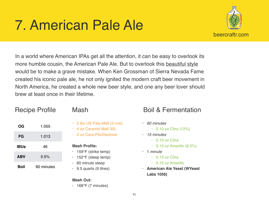# 7. American Pale Ale



In a world where American IPAs get all the attention, it can be easy to overlook its more humble cousin, the American Pale Ale. But to overlook this [beautiful style](http://www.beercraftr.com/beer-style-american-pale-ale/) would be to make a grave mistake. When Ken Grossman of Sierra Nevada Fame created his iconic pale ale, he not only ignited the modern craft beer movement in North America, he created a whole new beer style, and one any beer lover should brew at least once in their lifetime.

## Recipe Profile

**OG** 1.055

**FG** 1.013

**IBUs** 46

**ABV** 5.5%

**Boil** 60 minutes

- 2 lbs US Pale Malt (2-row)
- 4 oz Caramel Malt 30L
- 2 oz Cara-Pils/Dextrine

### **Mash Profile:**

- 159°F (strike temp)
- $\cdot$  152°F (steep temp)
- 60 minute steep
- $\cdot$  9.5 quarts (9 litres)

### **Mash Out:**

 $\cdot$  168°F (7 minutes)

- *• 60 minutes*
	- 0.10 oz Citra (12%)
- *15 minutes*
	- $\cdot$  0.10 oz Citra
	- $\cdot$  0.15 oz Amarillo (8.5%)
- 1 *minute*
	- $\cdot$  0.15 oz Citra
	- 0.15 oz Amarillo
- **• American Ale Yeast (WYeast Labs 1056)**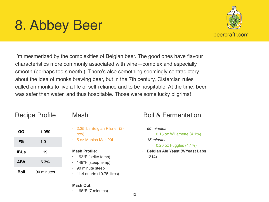# 8. Abbey Beer



I'm mesmerized by the complexities of Belgian beer. The good ones have flavour characteristics more commonly associated with wine—complex and especially smooth (perhaps too smooth!). There's also something seemingly contradictory about the idea of monks brewing beer, but in the 7th century, Cistercian rules called on monks to live a life of self-reliance and to be hospitable. At the time, beer was safer than water, and thus hospitable. Those were some lucky pilgrims!

## Recipe Profile

| OG          | 1.059      |
|-------------|------------|
| FG          | 1.011      |
| <b>IBUs</b> | 19         |
| <b>ABV</b>  | 6.3%       |
| Boil        | 90 minutes |

## Mash

- 2.25 lbs Belgian Pilsner (2 row)
- 5 oz Munich Malt 20L

### **Mash Profile:**

- 153°F (strike temp)
- 148°F (steep temp)
- 90 minute steep
- $\cdot$  11.4 quarts (10.75 litres)

# Boil & Fermentation

- *• 60 minutes*
	- $\cdot$  0.15 oz Willamette (4.1%)
- *15 minutes*
	- $\cdot$  0.20 oz Fuggles (4.1%)
- **• Belgian Ale Yeast (WYeast Labs 1214)**

### **Mash Out:**

 $\cdot$  168°F (7 minutes)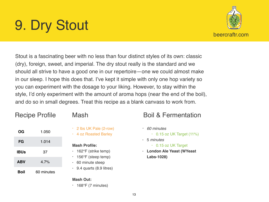# 9. Dry Stout



Stout is a fascinating beer with no less than four distinct styles of its own: classic (dry), foreign, sweet, and imperial. The dry stout really is the standard and we should all strive to have a good one in our repertoire—one we could almost make in our sleep. I hope this does that. I've kept it simple with only one hop variety so you can experiment with the dosage to your liking. However, to stay within the style, I'd only experiment with the amount of aroma hops (near the end of the boil), and do so in small degrees. Treat this recipe as a blank canvass to work from.

## Recipe Profile

| OG          | 1.050      |
|-------------|------------|
| FG          | 1.014      |
| <b>IBUs</b> | 37         |
| <b>ABV</b>  | 4.7%       |
| Boil        | 60 minutes |

- Mash
- 2 lbs UK Pale (2-row)
- 4 oz Roasted Barley

## **Mash Profile:**

- 162°F (strike temp)
- 156°F (steep temp)
- 60 minute steep
- 9.4 quarts (8.9 litres)

## **Mash Out:**

 $\cdot$  168°F (7 minutes)

- *• 60 minutes*
	- $\cdot$  0.15 oz UK Target (11%)
- 5 *minutes*
	- 0.15 oz UK Target
- **• London Ale Yeast (WYeast Labs-1028)**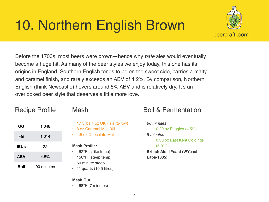# 10. Northern English Brown



Before the 1700s, most beers were brown—hence why *pale* ales would eventually become a huge hit. As many of the beer styles we enjoy today, this one has its origins in England. Southern English tends to be on the sweet side, carries a malty and caramel finish, and rarely exceeds an ABV of 4.2%. By comparison, Northern English (think Newcastle) hovers around 5% ABV and is relatively dry. It's an overlooked beer style that deserves a little more love.

# Recipe Profile

| <b>OG</b>   | 1.048      |
|-------------|------------|
| FG          | 1.014      |
| <b>IBUs</b> | 22         |
| <b>ABV</b>  | 4.5%       |
| Boil        | 90 minutes |

## Mash

- $\cdot$  1.15 lbs 4 oz UK Pale (2-row)
- 8 oz Caramel Malt 30L
- 1.5 oz Chocolate Malt

### **Mash Profile:**

- 162°F (strike temp)
- 156°F (steep temp)
- 60 minute steep
- $\cdot$  11 quarts (10.5 litres)

### **Mash Out:**

 $\cdot$  168°F (7 minutes)

- *• 90 minutes*
	- $\cdot$  0.20 oz Fuggles (4.5%)
- 5 *minutes*
	- 0.30 oz East Kent Goldings (5.0%)
- **• British Ale II Yeast (WYeast Labs-1335)**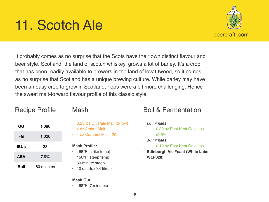# 11. Scotch Ale



It probably comes as no surprise that the Scots have their own distinct flavour and beer style. Scotland, the land of scotch whiskey, grows a lot of barley. It's a crop that has been readily available to brewers in the land of lovat tweed, so it comes as no surprise that Scotland has a unique brewing culture. While barley may have been an easy crop to grow in Scotland, hops were a bit more challenging. Hence the sweet malt-forward flavour profile of this classic style.

## Recipe Profile

| OG         | 1.086      |
|------------|------------|
| FG         | 1.026      |
| IBUs       | 33         |
| <b>ABV</b> | 7.9%       |
| Boil       | 60 minutes |

## Mash

- 3.25 lbs UK Pale Malt (2-row)
- 4 oz Amber Malt
- 4 oz Caramel Malt 120L

### **Mash Profile:**

- 165°F (strike temp)
- 156°F (steep temp)
- 60 minute steep
- 10 quarts (9.4 litres)

### **Mash Out:**

 $\cdot$  168°F (7 minutes)

- *• 60 minutes*
	- 0.30 oz East Kent Goldings  $(5.6\%)$
- 3*0 minutes*
	- 0.10 oz East Kent Goldings
- **• Edinburgh Ale Yeast (White Labs WLP028)**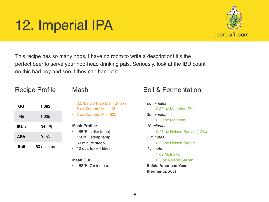# 12. Imperial IPA



This recipe has so many hops, I have no room to write a description! It's the perfect beer to serve your hop-head drinking pals. Seriously, look at the IBU count on this bad boy and see if they can handle it.

## Recipe Profile

| OG          | 1.093      |
|-------------|------------|
| FG          | 1.025      |
| <b>IBUs</b> | 104 (!!!)  |
| <b>ABV</b>  | 9.1%       |
| Boil        | 60 minutes |

## Mash

- 3.5 lbs US Pale Malt (2-row)
- 6 oz Caramel Malt 10L
- 2 oz Caramel Malt 60L

## **Mash Profile:**

- 165°F (strike temp)
- 156°F (steep temp)
- 60 minute steep
- $\cdot$  10 quarts (9.4 litres)

### **Mash Out:**

 $\cdot$  168°F (7 minutes)

- *• 60 minutes*
	- $\cdot$  0.30 oz Motueka (7%)
- 3*0 minutes*
	- 0.50 oz Motueka
- *• 10 minutes*
	- 0.25 oz Nelson Sauvin (12%)
- *• 5 minutes*
	- 0.25 oz Nelson Sauvin
- *• 1 minute*
	- 1 oz Motueka
	- 0.5 oz Nelson Sauvin
- **• Safale American Yeast (Fermentis #05)**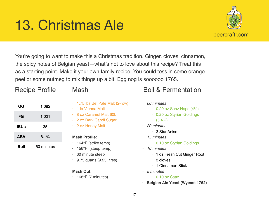# 13. Christmas Ale



You're going to want to make this a Christmas tradition. Ginger, cloves, cinnamon, the spicy notes of Belgian yeast—what's not to love about this recipe? Treat this as a starting point. Make it your own family recipe. You could toss in some orange peel or some nutmeg to mix things up a bit. Egg nog is soooooo 1765.

# Recipe Profile

| ОG          | 1.082      |
|-------------|------------|
| FG          | 1.021      |
| <b>IBUs</b> | 35         |
| <b>ABV</b>  | 8.1%       |
| Boil        | 60 minutes |

- 1.75 lbs Bel Pale Malt (2-row)
- 1 lb Vienna Malt
- 8 oz Caramel Malt 60L
- 2 oz Dark Candi Sugar
- 2 oz Honey Malt

### **Mash Profile:**

- $\cdot$  164°F (strike temp)
- $\cdot$  156°F (steep temp)
- 60 minute steep
- $\cdot$  9.75 quarts (9.25 litres)

## **Mash Out:**

 $\cdot$  168°F (7 minutes)

- *• 60 minutes*
	- $\cdot$  0.20 oz Saaz Hops (4%)
	- 0.20 oz Styrian Goldings  $(5.4\%)$
- *20 minutes*
	- 3 Star Anise
- *• 15 minutes*
	- 0.10 oz Styrian Goldings
- *• 10 minutes*
	- 1 oz Fresh Cut Ginger Root
	- 3 cloves
	- 1 Cinnamon Stick
- *• 5 minutes*
	- $\cdot$  0.10 oz Saaz
- **• Belgian Ale Yeast (Wyeast 1762)**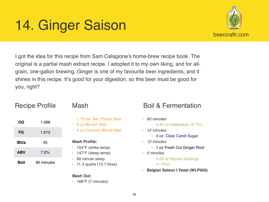# 14. Ginger Saison



I got the idea for this recipe from Sam Calagione's home-brew recipe book. The original is a partial mash extract recipe. I adopted it to my own liking, and for allgrain, one-gallon brewing. Ginger is one of my favourite beer ingredients, and it shines in this recipe. It's good for your digestion, so this beer must be good for you, right?

| <b>Recipe Profile</b> |            |  |
|-----------------------|------------|--|
| OG                    | 1.066      |  |
| FG                    | 1.012      |  |
| <b>IBUs</b>           | 45         |  |
| <b>ABV</b>            | 7.2%       |  |
| <b>Boil</b>           | 90 minutes |  |
|                       |            |  |

- 1.75 lbs Bel. Pilsner Malt
- 8 oz Munich Malt
- 4 oz Caramel Wheat Malt

### **Mash Profile:**

- 154°F (strike temp)
- 147°F (steep temp)
- 90 minute steep
- $\cdot$  11.3 quarts (10.7 litres)

## **Mash Out:**

 $\cdot$  168°F (7 minutes)

- *• 60 minutes*
	- 0.40 oz Hallertauer (5.7%)
- *• 15 minutes*
	- 4 oz Clear Candi Sugar
- *• 12 minutes*
	- 1 oz Fresh Cut Ginger Root
- *• 5 minutes*
	- 0.20 oz Styrian Goldings  $(1.75\%)$
- **• Belgian Saison I Yeast (WLP565)**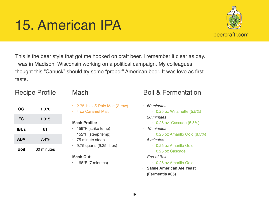# 15. American IPA



This is the beer style that got me hooked on craft beer. I remember it clear as day. I was in Madison, Wisconsin working on a political campaign. My colleagues thought this "Canuck" should try some "proper" American beer. It was love as first taste.

## Recipe Profile

| OG          | 1.070      |
|-------------|------------|
| FG          | 1.015      |
| <b>IBUs</b> | 61         |
| <b>ABV</b>  | $7.4\%$    |
| <b>Boil</b> | 60 minutes |

- - 2.75 lbs US Pale Malt (2-row)
	- 4 oz Caramel Malt

## **Mash Profile:**

- 159°F (strike temp)
- 152°F (steep temp)
- 75 minute steep
- $\cdot$  9.75 quarts (9.25 litres)

## **Mash Out:**

 $\cdot$  168°F (7 minutes)

- *• 60 minutes*
	- $\cdot$  0.25 oz Willamette (5.5%)
- *• 20 minutes*
	- $\cdot$  0.25 oz Cascade (5.5%)
- *• 10 minutes*
	- 0.25 oz Amarillo Gold (8.5%)
- *• 5 minutes*
	- 0.25 oz Amarillo Gold
	- 0.25 oz Cascade
- *• End of Boil*
	- 0.25 oz Amarillo Gold
- **• Safale American Ale Yeast (Fermentis #05)**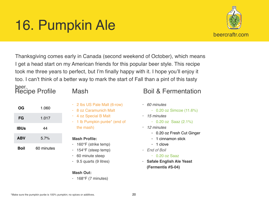# 16. Pumpkin Ale



### beer. Recipe Profile

| OG          | 1.060      |
|-------------|------------|
| FG          | 1.017      |
| <b>IBUs</b> | 44         |
| <b>ABV</b>  | 5.7%       |
| Boil        | 60 minutes |

- 
- 2 lbs US Pale Malt (6-row)
- 8 oz Caramunich Malt
- 4 oz Special B Malt
- 1 lb Pumpkin purée\* (end of the mash)

### **Mash Profile:**

- 160°F (strike temp)
- 154°F (steep temp)
- 60 minute steep
- $\cdot$  9.5 quarts (9 litres)

## **Mash Out:**

 $\cdot$  168°F (7 minutes)

- *• 60 minutes*
	- $\cdot$  0.20 oz Simcoe (11.6%)
- *• 15 minutes*
	- $\cdot$  0.20 oz Saaz (2.1%)
- *• 12 minutes*
	- 0.20 oz Fresh Cut Ginger
	- 1 cinnamon stick
	- $\cdot$  1 clove
- *• End of Boil*
	- 0.20 oz Saaz
- **• Safale English Ale Yeast (Fermentis #S-04)**

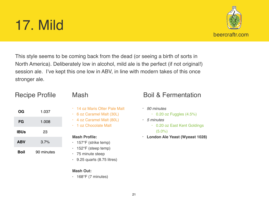# 17. Mild

This style seems to be coming back from the dead (or seeing a birth of sorts in North America). Deliberately low in alcohol, mild ale is the perfect (if not original!) session ale. I've kept this one low in ABV, in line with modern takes of this once stronger ale.

# Recipe Profile

| OG          | 1.037      |
|-------------|------------|
| FG          | 1.008      |
| <b>IBUs</b> | 23         |
| <b>ABV</b>  | 3.7%       |
| Boil        | 90 minutes |

- 14 oz Maris Otter Pale Malt
- 6 oz Caramel Malt (30L)
- 4 oz Caramel Malt (80L)
- 1 oz Chocolate Malt

### **Mash Profile:**

- 157°F (strike temp)
- 152°F (steep temp)
- 75 minute steep
- $\cdot$  9.25 quarts (8.75 litres)

## **Mash Out:**

 $\cdot$  168°F (7 minutes)

- *• 90 minutes*
	- $\cdot$  0.20 oz Fuggles (4.5%)
- *• 5 minutes*
	- 0.20 oz East Kent Goldings (5.0%)
- **• London Ale Yeast (Wyeast 1028)**

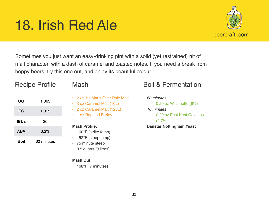# 18. Irish Red Ale



Sometimes you just want an easy-drinking pint with a solid (yet restrained) hit of malt character, with a dash of caramel and toasted notes. If you need a break from hoppy beers, try this one out, and enjoy its beautiful colour.

# Recipe Profile

| OG          | 1.063      |
|-------------|------------|
| FG          | 1.015      |
| <b>IBUs</b> | 26         |
| <b>ABV</b>  | 6.3%       |
| Boil        | 60 minutes |

- 2.25 lbs Maris Otter Pale Malt
- 3 oz Caramel Malt (10L)
- 2 oz Caramel Malt (120L)
- 1 oz Roasted Barley

## **Mash Profile:**

- 160°F (strike temp)
- 152°F (steep temp)
- 75 minute steep
- $\cdot$  9.5 quarts (9 litres)

## **Mash Out:**

 $\cdot$  168°F (7 minutes)

- *• 60 minutes*
	- $\cdot$  0.20 oz Willamette (6%)
- *• 10 minutes*
	- 0.20 oz East Kent Goldings
		- $(4.7\%)$
- **• Danstar Nottingham Yeast**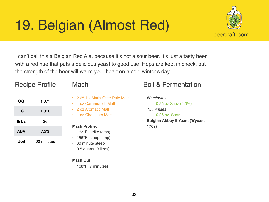# 19. Belgian (Almost Red)



I can't call this a Belgian Red Ale, because it's not a sour beer. It's just a tasty beer with a red hue that puts a delicious yeast to good use. Hops are kept in check, but the strength of the beer will warm your heart on a cold winter's day.

# Recipe Profile

| OG          | 1.071      |
|-------------|------------|
| FG          | 1.016      |
| <b>IBUs</b> | 26         |
| <b>ABV</b>  | 7.2%       |
| Boil        | 60 minutes |

- 2.25 lbs Maris Otter Pale Malt
- 4 oz Caramunich Malt
- 2 oz Aromatic Malt
- 1 oz Chocolate Malt

## **Mash Profile:**

- 163°F (strike temp)
- 156°F (steep temp)
- 60 minute steep
- $\cdot$  9.5 quarts (9 litres)

## **Mash Out:**

 $\cdot$  168°F (7 minutes)

- *• 60 minutes*
	- $\cdot$  0.25 oz Saaz (4.0%)
- *• 15 minutes*
	- 0.25 oz Saaz
- **• Belgian Abbey II Yeast (Wyeast 1762)**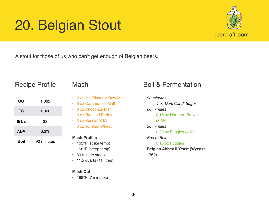# 20. Belgian Stout



A stout for those of us who can't get enough of Belgian beers.

## Recipe Profile

| <b>OG</b>   | 1.082      |
|-------------|------------|
| FG          | 1.020      |
| <b>IBUs</b> | 33         |
| <b>ABV</b>  | 8.3%       |
| Boil        | 90 minutes |

- 2.25 lbs Pilsner 2-Row Malt
- 6 oz Caramunich Malt
- 3 oz Chocolate Malt
- 3 oz Roasted Barley
- 3 oz Special B Malt
- 3 oz Torrified Wheat

### **Mash Profile:**

- 163°F (strike temp)
- 156°F (steep temp)
- 60 minute steep
- $\cdot$  11.5 quarts (11 litres)

## **Mash Out:**

 $\cdot$  168°F (7 minutes)

- *• 90 minutes*
	- *4 oz Dark Candi Sugar*
- *• 60 minutes*
	- 0.15 oz Northern Brewer
		- $(8.5\%)$
- *• 30 minutes*
	- $\cdot$  0.20 oz Fuggles (4.5%)
- *• End of Boil*
	- 0.10 oz Fuggles
- **• Belgian Abbey II Yeast (Wyeast 1762)**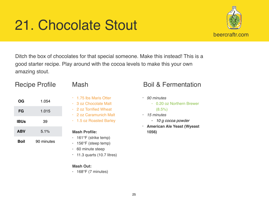# 21. Chocolate Stout



Ditch the box of chocolates for that special someone. Make this instead! This is a good starter recipe. Play around with the cocoa levels to make this your own amazing stout.

# Recipe Profile

| OG          | 1.054      |
|-------------|------------|
| FG          | 1.015      |
| <b>IBUs</b> | 39         |
| <b>ABV</b>  | 5.1%       |
| Boil        | 90 minutes |

- 1.75 lbs Maris Otter
- 3 oz Chocolate Malt
- 2 oz Torrified Wheat
- 2 oz Caramunich Malt
- 1.5 oz Roasted Barley

## **Mash Profile:**

- $\cdot$  161°F (strike temp)
- 156°F (steep temp)
- 60 minute steep
- $\cdot$  11.3 quarts (10.7 litres)

## **Mash Out:**

 $\cdot$  168°F (7 minutes)

# Mash Boil & Fermentation

- *• 90 minutes*
	- 0.20 oz Northern Brewer

## (8.5%)

- *• 15 minutes*
	- *10 g cocoa powder*
- **• American Ale Yeast (Wyeast 1056)**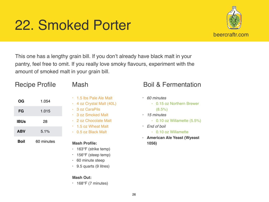# 22. Smoked Porter



This one has a lengthy grain bill. If you don't already have black malt in your pantry, feel free to omit. If you really love smoky flavours, experiment with the amount of smoked malt in your grain bill.

# Recipe Profile

| <b>OG</b>   | 1.054 |
|-------------|-------|
| FG          | 1.015 |
| <b>IBUs</b> | 28    |
| <b>ABV</b>  | 5.1%  |
|             |       |

**Boil** 60 minutes

- 1.5 lbs Pale Ale Malt
- 4 oz Crystal Malt (40L)
- 3 oz CaraPils
- 3 oz Smoked Malt
- 2 oz Chocolate Malt
- 1.5 oz Wheat Malt
- 0.5 oz Black Malt

## **Mash Profile:**

- 163°F (strike temp)
- 156°F (steep temp)
- 60 minute steep
- $\cdot$  9.5 quarts (9 litres)

## **Mash Out:**

 $\cdot$  168°F (7 minutes)

- *• 60 minutes*
	- 0.15 oz Northern Brewer
	- (8.5%)
- *• 15 minutes*
	- 0.10 oz Willamette (5.5%)
- *• End of boil*
	- 0.10 oz Willamette
- **• American Ale Yeast (Wyeast 1056)**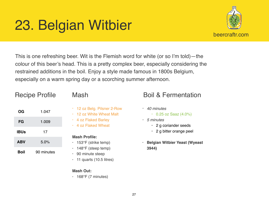# 23. Belgian Witbier



This is one refreshing beer. Wit is the Flemish word for white (or so I'm told)—the colour of this beer's head. This is a pretty complex beer, especially considering the restrained additions in the boil. Enjoy a style made famous in 1800s Belgium, especially on a warm spring day or a scorching summer afternoon.

## Recipe Profile

| OG          | 1.047      |
|-------------|------------|
| FG          | 1.009      |
| <b>IBUs</b> | 17         |
| <b>ABV</b>  | 5.0%       |
| Boil        | 90 minutes |

- 12 oz Belg. Pilsner 2-Row
- 12 oz White Wheat Malt
- 4 oz Flaked Barley
- 4 oz Flaked Wheat

### **Mash Profile:**

- 153°F (strike temp)
- 148°F (steep temp)
- 90 minute steep
- $\cdot$  11 quarts (10.5 litres)

## **Mash Out:**

 $\cdot$  168°F (7 minutes)

- *• 40 minutes*
	- $\cdot$  0.25 oz Saaz (4.0%)
- *• 5 minutes*
	- 2 g coriander seeds
	- 2 g bitter orange peel
- **• Belgian Witbier Yeast (Wyeast 3944)**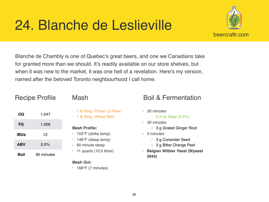# 24. Blanche de Leslieville



Blanche de Chambly is one of Quebec's great beers, and one we Canadians take for granted more than we should. It's readily available on our store shelves, but when it was new to the market, it was one hell of a revelation. Here's my version, named after the beloved Toronto neighbourhood I call home.

| <b>Recipe Profile</b> |            |  |
|-----------------------|------------|--|
| OG                    | 1.047      |  |
| FG                    | 1.009      |  |
| <b>IBUs</b>           | 12         |  |
| <b>ABV</b>            | 5.0%       |  |
| Boil                  | 90 minutes |  |

- 1 lb Belg. Pilsner (2-Row)
- 1 lb Belg. Wheat Malt

## **Mash Profile:**

- 153°F (strike temp)
- $\cdot$  148°F (steep temp)
- 90 minute steep
- $\cdot$  11 quarts (10.5 litres)

## **Mash Out:**

 $\cdot$  168°F (7 minutes)

- *• 30 minutes*
	- $\cdot$  0.2 oz Saaz (4.0%)
- *• 30 minutes*
	- 3 g Grated Ginger Root
- *• 5 minutes*
	- 3 g Coriander Seed
	- 3 g Bitter Orange Peel
- **• Belgian Witbier Yeast (Wyeast 3944)**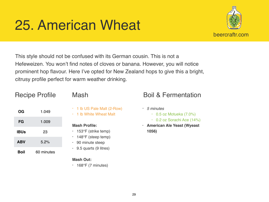# 25. American Wheat



This style should not be confused with its German cousin. This is not a Hefeweizen. You won't find notes of cloves or banana. However, you will notice prominent hop flavour. Here I've opted for New Zealand hops to give this a bright, citrusy profile perfect for warm weather drinking.

## Recipe Profile

| <b>OG</b>   | 1.049      |
|-------------|------------|
| FG          | 1.009      |
| <b>IBUs</b> | 23         |
| <b>ABV</b>  | 5.2%       |
| Boil        | 60 minutes |

- 1 lb US Pale Malt (2-Row)
- 1 lb White Wheat Malt

## **Mash Profile:**

- 153°F (strike temp)
- 148°F (steep temp)
- 90 minute steep
- $\cdot$  9.5 quarts (9 litres)

## **Mash Out:**

 $\cdot$  168°F (7 minutes)

- *• 5 minutes*
	- $\cdot$  0.5 oz Motueka (7.0%)
	- 0.2 oz Sorachi Ace (14%)
- **• American Ale Yeast (Wyeast 1056)**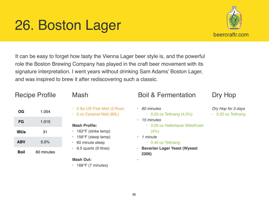*•*

# 26. Boston Lager

It can be easy to forget how tasty the Vienna Lager beer style is, and the powerful role the Boston Brewing Company has played in the craft beer movement with its signature interpretation. I went years without drinking Sam Adams' Boston Lager, and was inspired to brew it after rediscovering such a classic.

## Recipe Profile

| OG          | 1.054      |
|-------------|------------|
| FG          | 1.015      |
| <b>IBUs</b> | 31         |
| <b>ABV</b>  | 5.0%       |
| Boil        | 60 minutes |

• 2 lbs US Pale Malt (2-Row) • 5 oz Caramel Malt (60L)

## **Mash Profile:**

- 162°F (strike temp)
- 156°F (steep temp)
- 60 minute steep
- $\cdot$  9.5 quarts (9 litres)

## **Mash Out:**

 $\cdot$  168°F (7 minutes)

## Mash Boil & Fermentation

- *• 60 minutes*
	- $\cdot$  0.25 oz Tettnang (4.5%)
- *• 15 minutes*
	- 0.25 oz Hallertauer Mittelfrueh  $(4% )$
- *• 1 minute*
	- 0.40 oz Tettnang
- **• Bavarian Lager Yeast (Wyeast 2206)**

# Dry Hop

- *Dry Hop for 3 days*
- 0.25 oz Tettnang

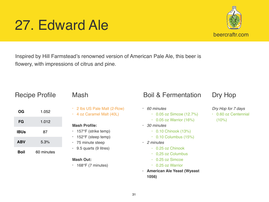### 31

# 27. Edward Ale

Inspired by Hill Farmstead's renowned version of American Pale Ale, this beer is flowery, with impressions of citrus and pine.

## Recipe Profile

| <b>OG</b>   | 1.052 |  |
|-------------|-------|--|
| FG          | 1.012 |  |
| <b>IBUs</b> | 87    |  |

**ABV** 5.3%

**Boil** 60 minutes

## • 2 lbs US Pale Malt (2-Row)

• 4 oz Caramel Malt (40L)

## **Mash Profile:**

- 157°F (strike temp)
- 152°F (steep temp)
- 75 minute steep
- $\cdot$  9.5 quarts (9 litres)

## **Mash Out:**

 $\cdot$  168°F (7 minutes)

## Mash Boil & Fermentation

- *• 60 minutes*
	- 0.05 oz Simcoe (12.7%)
	- $\cdot$  0.05 oz Warrior (16%)
- *• 30 minutes*
	- 0.10 Chinook (13%)
	- $\cdot$  0.10 Columbus (15%)
- *• 2 minutes*
	- 0.25 oz Chinook
	- 0,25 oz Columbus
	- 0.25 oz Simcoe
	- 0.25 oz Warrior
- **• American Ale Yeast (Wyeast 1056)**

# Dry Hop

- *Dry Hop for 7 days*
- 0.60 oz Centennial  $(10\%)$

beercraftr.com

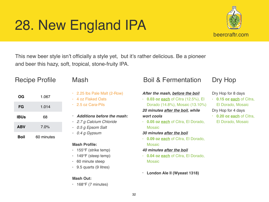# 28. New England IPA



This new beer style isn't officially a style yet, but it's rather delicious. Be a pioneer and beer this hazy, soft, tropical, stone-fruity IPA.

## Recipe Profile

| OG          | 1.067      |
|-------------|------------|
| FG          | 1.014      |
| <b>IBUs</b> | 68         |
| <b>ABV</b>  | 7.0%       |
| Boil        | 60 minutes |

- 2.25 lbs Pale Malt (2-Row)
- 4 oz Flaked Oats
- 2.5 oz Cara-Pils
- *• Additions before the mash:*
- *• 2.7 g Calcium Chloride*
- *• 0.5 g Epsom Salt*
- *• 0.4 g Gypsum*

### **Mash Profile:**

- 155°F (strike temp)
- 149°F (steep temp)
- 60 minute steep
- $\cdot$  9.5 quarts (9 litres)

### **Mash Out:**

 $\cdot$  168°F (7 minutes)

# Mash Boil & Fermentation

### *After the mash, before the boil*

- **0.03 oz each** of Citra (12.5%), El Dorado (14.8%), Mosaic (13.10%) *20 minutes after the boil, while wort cools*
- **0.05 oz each** of Citra, El Dorado, Mosaic

### *30 minutes after the boil*

- **0.09 oz each** of Citra, El Dorado, **Mosaic**
- *40 minutes after the boil*
- **0.04 oz each** of Citra, El Dorado, Mosaic
- **• London Ale II (Wyeast 1318)**

# Dry Hop

### Dry Hop for 8 days

- **0.15 oz each** of Citra, El Dorado, Mosaic Dry Hop for 4 days
- **0.20 oz each** of Citra, El Dorado, Mosaic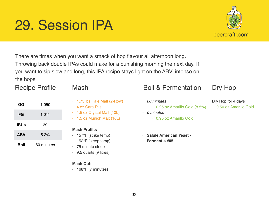# 29. Session IPA



# Recipe Profile

| OG          | 1.050      |
|-------------|------------|
| FG          | 1.011      |
| <b>IBUs</b> | 39         |
| <b>ABV</b>  | 5.2%       |
| Boil        | 60 minutes |

- 1.75 lbs Pale Malt (2-Row)
- 4 oz Cara-Pils
- 1.5 oz Crystal Malt (10L)
- 1.5 oz Munich Malt (10L)

## **Mash Profile:**

- 157°F (strike temp)
- $\cdot$  152°F (steep temp)
- 75 minute steep
- $\cdot$  9.5 quarts (9 litres)

### **Mash Out:**

 $\cdot$  168°F (7 minutes)

## Mash Boil & Fermentation

• 0.95 oz Amarillo Gold

**• Safale American Yeast -** 

**Fermentis #05**

• 0.25 oz Amarillo Gold (8.5%)

*• 60 minutes*

*• 0 minutes*

- Dry Hop
- Dry Hop for 4 days
	- 0.50 oz Amarillo Gold

33

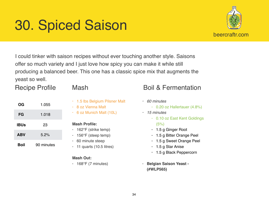# 30. Spiced Saison



I could tinker with saison recipes without ever touching another style. Saisons offer so much variety and I just love how spicy you can make it while still producing a balanced beer. This one has a classic spice mix that augments the yeast so well.

# Recipe Profile

| OG          | 1.055      |
|-------------|------------|
| FG          | 1.018      |
| <b>IBUs</b> | 23         |
| <b>ABV</b>  | 5.2%       |
| Boil        | 90 minutes |

- 1.5 lbs Belgium Pilsner Malt
- 8 oz Vienna Malt
- 6 oz Munich Malt (10L)

## **Mash Profile:**

- 162°F (strike temp)
- 156°F (steep temp)
- 60 minute steep
- $\cdot$  11 quarts (10.5 litres)

## **Mash Out:**

 $\cdot$  168°F (7 minutes)

- *• 60 minutes*
	- 0.20 oz Hallertauer (4.8%)
- *• 15 minutes*
	- 0.10 oz East Kent Goldings  $(5%)$
	- 1.5 g Ginger Root
	- 1.5 g Bitter Orange Peel
	- 1.5 g Sweet Orange Peel
	- 1.5 g Star Anise
	- 1.5 g Black Peppercorn
- **• Belgian Saison Yeast (#WLP565)**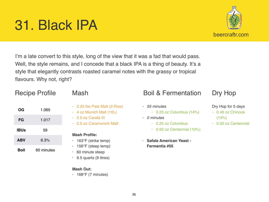# 31. Black IPA

I'm a late convert to this style, long of the view that it was a fad that would pass. Well, the style remains, and I concede that a black IPA is a thing of beauty. It's a style that elegantly contrasts roasted caramel notes with the grassy or tropical flavours. Why not, right?

## Recipe Profile

| OG          | 1.065      |
|-------------|------------|
| FG          | 1.017      |
| <b>IBUs</b> | 59         |
| <b>ABV</b>  | 6.3%       |
| Boil        | 60 minutes |

- 
- 2.25 lbs Pale Malt (2-Row)
- 4 oz Munich Malt (10L)
- 2.5 oz Carafa III
- 2.5 oz Caramunich Malt

### **Mash Profile:**

- 163°F (strike temp)
- 156°F (steep temp)
- 60 minute steep
- $\cdot$  9.5 quarts (9 litres)

### **Mash Out:**

 $\cdot$  168°F (7 minutes)

## Mash Boil & Fermentation

- *• 55 minutes*
	- $\cdot$  0.25 oz Columbus (14%)
- *• 0 minutes*
	- 0.25 oz Columbus
	- 0.50 oz Centennial (10%)
- **• Safale American Yeast Fermentis #05**

# Dry Hop

## Dry Hop for 5 days

- 0.40 oz Chinook  $(13%)$
- 0.50 oz Centennial

beercraftr.com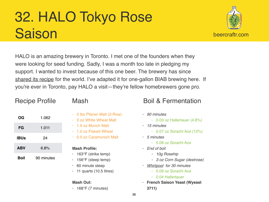# 32. HALO Tokyo Rose **Saison**

beercraftr.com

HALO is an amazing brewery in Toronto. I met one of the founders when they were looking for seed funding. Sadly, I was a month too late in pledging my support. I wanted to invest because of this one beer. The brewery has since [shared its recipe](https://halobrewery.com/beer/Tokyo_Rose) for the world. I've adapted it for one-gallon BIAB brewing here. If you're ever in Toronto, pay HALO a visit—they're fellow homebrewers gone pro.

**OG** 1.062

**FG** 1.011

**IBUs** 24

**ABV** 6.8%

**Boil** 90 minutes

|  | Mash |  |
|--|------|--|
|--|------|--|

- 2 lbs Pilsner Malt (2-Row)
- 3 oz White Wheat Malt
- 1.5 oz Munch Malt
- 1.0 oz Flaked Wheat
- 0.5 oz Caramunich Malt

### **Mash Profile:**

- 163°F (strike temp)
- 156°F (steep temp)
- 60 minute steep
- $\cdot$  11 quarts (10.5 litres)

## **Mash Out:**

 $\cdot$  168°F (7 minutes)

- *• 90 minutes*
	- 0.03 oz Hallertauer (4.8%)
- *• 15 minutes*
	- 0.07 oz Sorachi Ace (12%)
- *• 5 minutes*
	- 0.08 oz Sorachi Ace
- *• End of boil*
	- *• 10g Rosehip*
	- *• 3 oz Corn Sugar (dextrose)*
- *• [Whirlpool](https://www.beercraftr.com/introduction-hopping-methods/) for 30 minutes*
	- 0.09 oz Sorachi Ace
	- 0.04 Hallertauer
- **• French Saison Yeast (Wyeast 3711)**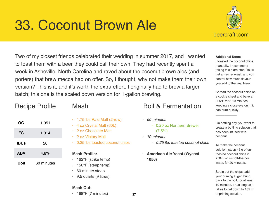# 33. Coconut Brown Ale



### **Additional Notes**:

I toasted the coconut chips manually. I recommend taking this extra step. You'll get a fresher roast, and you control how much flavour you add to the final brew.

Spread the coconut chips on a cookie sheet and bake at 325ºF for 5-10 minutes, keeping a close eye on it; it can burn quickly.

\_\_\_\_\_\_\_\_\_\_\_\_

On bottling day, you want to create a bottling solution that has been infused with coconut.

To make the coconut solution, steep 45 g of untoasted coconut chips in 750ml of just-off-the-boil water, for 20 minutes.

Strain out the chips, add your priming sugar, bring back to the boil, for at least 10 minutes, or as long as it takes to get down to 185 ml of priming solution.

Two of my closest friends celebrated their wedding in summer 2017, and I wanted to toast them with a beer they could call their own. They had recently spent a week in Asheville, North Carolina and raved about the coconut brown ales (and porters) that brew mecca had on offer. So, I thought, why not make them their own version? This is it, and it's worth the extra effort. I originally had to brew a larger batch; this one is the scaled down version for 1-gallon brewing.

## Recipe Profile

| OG          | 1.051      |
|-------------|------------|
| FG          | 1.014      |
| <b>IBUs</b> | 28         |
| <b>ABV</b>  | 4.8%       |
| Boil        | 60 minutes |

- 1.75 lbs Pale Malt (2-row)
- 4 oz Crystal Malt (60L)
- 2 oz Chocolate Malt
- 2 oz Victory Malt
- 0.25 lbs toasted coconut chips

### **Mash Profile:**

- 162°F (strike temp)
- 156°F (steep temp)
- 60 minute steep
- 9.5 quarts (9 litres)

### **Mash Out:**

 $\cdot$  168°F (7 minutes)

- *• 60 minutes*
	- 0.20 oz Northern Brewer  $(7.5\%)$
- *• 10 minutes*
	- *• 0.25 lbs toasted coconut chips*
- **• American Ale Yeast (Wyeast 1056)**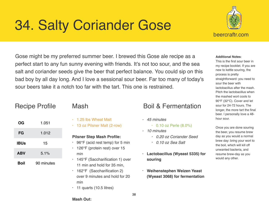# 34. Salty Coriander Gose



Gose might be my preferred summer beer. I brewed this Gose ale recipe as a perfect start to any fun sunny evening with friends. It's not too sour, and the sea

salt and coriander seeds give the beer that perfect balance. You could sip on this bad boy by all day long. And I love a sessional sour beer. Far too many of today's sour beers take it a notch too far with the tart. This one is restrained.

|             | <b>Recipe Profile</b> |  |
|-------------|-----------------------|--|
| OG          | 1.051                 |  |
| FG          | 1.012                 |  |
| <b>IBUs</b> | 15                    |  |
| <b>ABV</b>  | 5.1%                  |  |
| Boil        | 90 minutes            |  |
|             |                       |  |

- 1.25 lbs Wheat Malt
- 13 oz Pilsner Malt (2-row)

### **Pilsner Step Mash Profile:**

- $\cdot$  96°F (acid rest temp) for 5 min
- 126°F (protein rest) over 15 min
- 145°F (Saccharification 1) over 11 min and hold for 35 min,
- 162°F (Saccharification 2) over 9 minutes and hold for 20 min
- $\cdot$  11 quarts (10.5 litres)

## Mash Boil & Fermentation

- *• 45 minutes*
	- 0.10 oz Perle (8.0%)
- *• 10 minutes*
	- *• 0.20 oz Coriander Seed*
	- *• 0.10 oz Sea Salt*
- **• Lactobacillus (Wyeast 5335) for souring**
- **• Weihenstephen Weizen Yeast (Wyeast 3068) for fermentation**

### **Additional Notes**:

This is the first sour beer in my recipe booklet. If you are new to kettle souring, the process is pretty straightforward: you need to sour the beer with lactobacillus after the mash. Pitch the lactobacillus when the mashed wort cools to 90°F (32°C). Cover and let sour for 24-72 hours. The longer, the more tart the final beer. I personally love a 48 hour sour.

Once you are done souring the beer, you resume brew day as you would a normal brew day: bring your wort to the boil, which will kill off unwanted bacteria, and resume brew-day as you would any other.

38

**Mash Out:**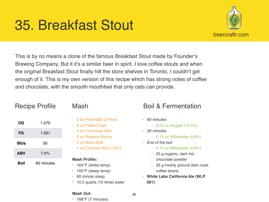# 35. Breakfast Stout



This is by no means a clone of the famous Breakfast Stout made by Founder's Brewing Company. But it it's a similar beer in spirit. I love coffee stouts and when the original Breakfast Stout finally hilt the store shelves in Toronto, I couldn't get enough of it. This is my own version of this recipe which has strong notes of coffee and chocolate, with the smooth mouthfeel that only oats can provide.

| OG          | 1.070      |
|-------------|------------|
| FG          | 1.021      |
| <b>IBUs</b> | 50         |
| <b>ABV</b>  | 7.5%       |
| Boil        | 60 minutes |

Recipe Profile

- 3 lbs Pale Malt (2-Row)
- 6 oz Flaked Oats
- 4 oz Chocolate Malt
- 3 oz Roasted Barley
- 2 oz Black Malt
- 1 oz Caramel Malt (120L)

## **Mash Profile:**

- 164°F (strike temp)
- 155°F (steep temp)
- 60 minute steep
- 10.5 quarts (10 litres) water

# Mash Boil & Fermentation

- *• 60 minutes*
	- 0.25 oz Nugget (12.4%)
- *• 30 minutes*
	- 0.15 oz Willamette (4.8%)
- *• End of the boil*
	- $\cdot$  0.15 oz Willamette (4.8%)
	- 25 g organic, dark hot chocolate powder
	- 25 g freshly ground dark roast coffee beans
- **• White Labs California Ale (WLP 001)**

## **Mash Out:**

• 168°F (7 minutes)

39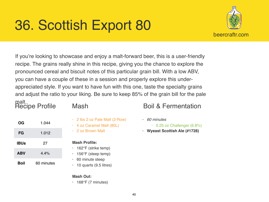# 36. Scottish Export 80



If you're looking to showcase and enjoy a malt-forward beer, this is a user-friendly recipe. The grains really shine in this recipe, giving you the chance to explore the pronounced cereal and biscuit notes of this particular grain bill. With a low ABV, you can have a couple of these in a session and properly explore this underappreciated style. If you want to have fun with this one, taste the specialty grains and adjust the ratio to your liking. Be sure to keep 85% of the grain bill for the pale

## malt. Recipe Profile

**OG** 1.044

| <b>Mash</b> |
|-------------|
|-------------|

- 2 lbs 2 oz Pale Malt (2-Row)
- 4 oz Caramel Malt (80L)
- 2 oz Brown Malt

# **FG** 1.012 **IBUs** 27 **ABV** 4.4% **Boil** 60 minutes

- **Mash Profile:**
- 162°F (strike temp)
- $\cdot$  156°F (steep temp)
- 60 minute steep
- $\cdot$  10 quarts (9.5 litres)

## **Mash Out:**

 $\cdot$  168°F (7 minutes)

- *• 60 minutes*
	- $\cdot$  0.25 oz Challenger (6.8%)
- **• Wyeast Scottish Ale (#1728)**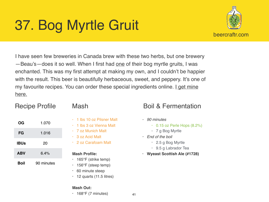# 37. Bog Myrtle Gruit



I have seen few breweries in Canada brew with these two herbs, but one brewery —Beau's—does it so well. When I first had [one](https://beaus.ca/beer/bog-water/) of their bog myrtle gruits, I was enchanted. This was my first attempt at making my own, and I couldn't be happier with the result. This beer is beautifully herbaceous, sweet, and peppery. It's one of my favourite recipes. You can order these special ingredients online. Let mine [here.](http://wildfoods.ca/)

# Recipe Profile

| ОG          | 1.070      |
|-------------|------------|
| FG          | 1.016      |
| <b>IBUs</b> | 20         |
| <b>ABV</b>  | 6.4%       |
| Boil        | 90 minutes |

- 
- 1 lbs 10 oz Pilsner Malt
- 1 lbs 3 oz Vienna Malt
- 7 oz Munich Malt
- 3 oz Acid Malt
- 2 oz Carafoam Malt

## **Mash Profile:**

- 165°F (strike temp)
- 156°F (steep temp)
- 60 minute steep
- $\cdot$  12 quarts (11.5 litres)

## **Mash Out:**

 $\cdot$  168°F (7 minutes)

- *• 90 minutes*
	- $\cdot$  0.15 oz Perle Hops (8.2%)
	- 7 g Bog Myrtle
- *• End of the boil*
	- 2.5 g Bog Myrtle
	- 9.5 g Labrador Tea
- **• Wyeast Scottish Ale (#1728)**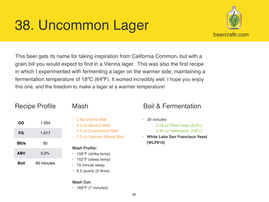# 38. Uncommon Lager



This beer gets its name for taking inspiration from California Common, but with a grain bill you would expect to find in a Vienna lager. This was also the first recipe in which I experimented with fermenting a lager on the warmer side, maintaining a fermentation temperature of 18ºC (64ºF). It worked incredibly well. I hope you enjoy this one, and the freedom to make a lager at a warmer temperature!

|             | i iuuipu i Tulliu |  |
|-------------|-------------------|--|
| ОG          | 1.054             |  |
| FG          | 1.017             |  |
| <b>IBUs</b> | 50                |  |
| <b>ABV</b>  | 5.0%              |  |
| Boil        | 60 minutes        |  |

Recipe Profile

- 2 lbs Vienna Malt
- 2.5 oz Munich Malt
- 2.5 oz Caramunich Malt
- 1.0 oz German Wheat Malt

### **Mash Profile:**

- 158°F (strike temp)
- 152°F (steep temp)
- 75 minute steep
- 9.5 quarts (9 litres)

## **Mash Out:**

 $\cdot$  168°F (7 minutes)

- *• 30 minutes*
	- $\cdot$  0.25 oz Perle Hops (8.2%)
	- 0.40 oz Hallertauer (3.8%)
- **• White Labs San Francisco Yeast (WLP810)**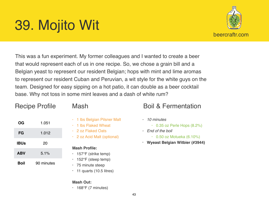# 39. Mojito Wit



This was a fun experiment. My former colleagues and I wanted to create a beer that would represent each of us in one recipe. So, we chose a grain bill and a Belgian yeast to represent our resident Belgian; hops with mint and lime aromas to represent our resident Cuban and Peruvian, a wit style for the white guys on the team. Designed for easy sipping on a hot patio, it can double as a beer cocktail base. Why not toss in some mint leaves and a dash of white rum?

## Recipe Profile

**OG** 1.051

**FG** 1.012

**IBUs** 20

**ABV** 5.1%

**Boil** 90 minutes

| Mash |
|------|
|------|

- 1 lbs Belgian Pilsner Malt
- 1 lbs Flaked Wheat
- 2 oz Flaked Oats
- 2 oz Acid Malt (optional)

## **Mash Profile:**

- 157°F (strike temp)
- 152°F (steep temp)
- 75 minute steep
- $\cdot$  11 quarts (10.5 litres)

## **Mash Out:**

 $\cdot$  168°F (7 minutes)

- *• 10 minutes*
	- $\cdot$  0.35 oz Perle Hops (8.2%)
- *• End of the boil*
	- $\cdot$  0.50 oz Motueka (6.10%)
- **• Wyeast Belgian Witbier (#3944)**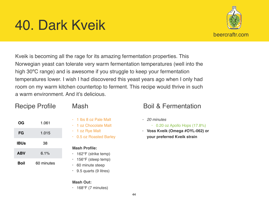# 40. Dark Kveik



Kveik is becoming all the rage for its amazing fermentation properties. This Norwegian yeast can tolerate very warm fermentation temperatures (well into the high 30ºC range) and is awesome if you struggle to keep your fermentation temperatures lower. I wish I had discovered this yeast years ago when I only had room on my warm kitchen countertop to ferment. This recipe would thrive in such a warm environment. And it's delicious.

## Recipe Profile

| Mash |
|------|
|------|

| OG          | 1.061      |
|-------------|------------|
| FG          | 1.015      |
| <b>IBUs</b> | 38         |
| <b>ABV</b>  | 6.1%       |
| Boil        | 60 minutes |

- 
- 1 lbs 8 oz Pale Malt
- 1 oz Chocolate Malt
- 1 oz Rye Malt
- 0.5 oz Roasted Barley

## **Mash Profile:**

- 162°F (strike temp)
- 156°F (steep temp)
- 60 minute steep
- 9.5 quarts (9 litres)

## **Mash Out:**

 $\cdot$  168°F (7 minutes)

# **Boil & Fermentation**

*• 20 minutes*

 $\cdot$  0.20 oz Apollo Hops (17.8%)

**• Voss Kveik (Omega #OYL-062) or your preferred Kveik strain**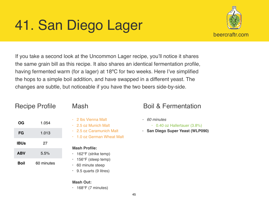# 41. San Diego Lager



If you take a second look at the Uncommon Lager recipe, you'll notice it shares the same grain bill as this recipe. It also shares an identical fermentation profile, having fermented warm (for a lager) at 18ºC for two weeks. Here I've simplified the hops to a simple boil addition, and have swapped in a different yeast. The changes are subtle, but noticeable if you have the two beers side-by-side.

| OG          | 1.054      |
|-------------|------------|
| FG          | 1.013      |
| <b>IBUs</b> | 27         |
| <b>ABV</b>  | 5.5%       |
| Boil        | 60 minutes |

Recipe Profile

- 2 lbs Vienna Malt
- 2.5 oz Munich Malt
- 2.5 oz Caramunich Malt
- 1.0 oz German Wheat Malt

## **Mash Profile:**

- 162°F (strike temp)
- 156°F (steep temp)
- 60 minute steep
- 9.5 quarts (9 litres)

## **Mash Out:**

 $\cdot$  168°F (7 minutes)

# Mash Boil & Fermentation

*• 60 minutes*

• 0.40 oz Hallertauer (3.8%)

**• San Diego Super Yeast (WLP090)**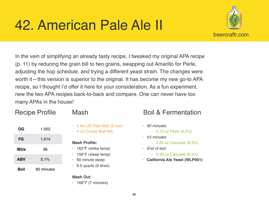# 42. American Pale Ale II



In the vein of simplifying an already tasty recipe, I tweaked my original APA recipe (p. 11) by reducing the grain bill to two grains, swapping out Amarillo for Perle, adjusting the hop schedule, and trying a different yeast strain. The changes were worth it—this version is superior to the original. It has become my new go-to APA recipe, so I thought I'd offer it here for your consideration. As a fun experiment, new the two APA recipes back-to-back and compare. One can never have too many APAs in the house!

**OG** 1.052

**FG** 1.014

**IBUs** 36

**ABV** 5.1%

**Boil** 60 minutes

## Mash

- 2 lbs US Pale Malt (2-row)
- 4 oz Crystal Malt 60L

### **Mash Profile:**

- 162°F (strike temp)
- 156°F (steep temp)
- 60 minute steep
- $\cdot$  9.5 quarts (9 litres)

## **Mash Out:**

• 168°F (7 minutes)

- *• 60 minutes*
	- 0.10 oz Perle (8.2%)
- 4*5 minutes*
	- $\cdot$  0.20 oz Cascade (6.3%)
- *• End of boil*
	- $\cdot$  0.30 oz Cascade (6.3%)
- **• California Ale Yeast (WLP001)**